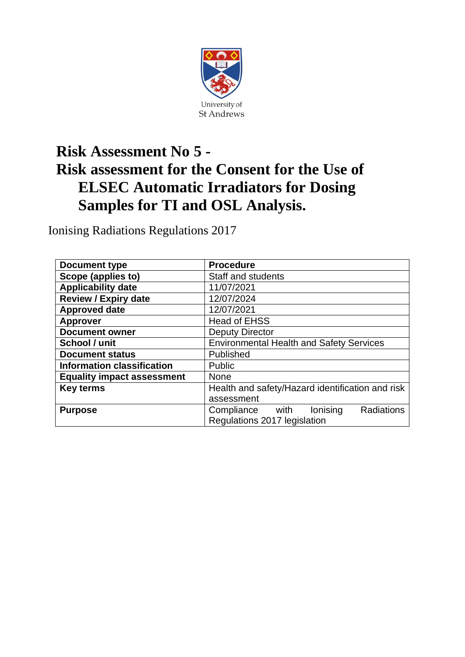

# **Risk Assessment No 5 - Risk assessment for the Consent for the Use of ELSEC Automatic Irradiators for Dosing Samples for TI and OSL Analysis.**

Ionising Radiations Regulations 2017

| <b>Document type</b>              | <b>Procedure</b>                                 |  |  |  |  |  |
|-----------------------------------|--------------------------------------------------|--|--|--|--|--|
| Scope (applies to)                | Staff and students                               |  |  |  |  |  |
| <b>Applicability date</b>         | 11/07/2021                                       |  |  |  |  |  |
| <b>Review / Expiry date</b>       | 12/07/2024                                       |  |  |  |  |  |
| <b>Approved date</b>              | 12/07/2021                                       |  |  |  |  |  |
| <b>Approver</b>                   | <b>Head of EHSS</b>                              |  |  |  |  |  |
| <b>Document owner</b>             | <b>Deputy Director</b>                           |  |  |  |  |  |
| School / unit                     | <b>Environmental Health and Safety Services</b>  |  |  |  |  |  |
| <b>Document status</b>            | Published                                        |  |  |  |  |  |
| <b>Information classification</b> | Public                                           |  |  |  |  |  |
| <b>Equality impact assessment</b> | <b>None</b>                                      |  |  |  |  |  |
| <b>Key terms</b>                  | Health and safety/Hazard identification and risk |  |  |  |  |  |
|                                   | assessment                                       |  |  |  |  |  |
| <b>Purpose</b>                    | lonising<br>Radiations<br>Compliance with        |  |  |  |  |  |
|                                   | Regulations 2017 legislation                     |  |  |  |  |  |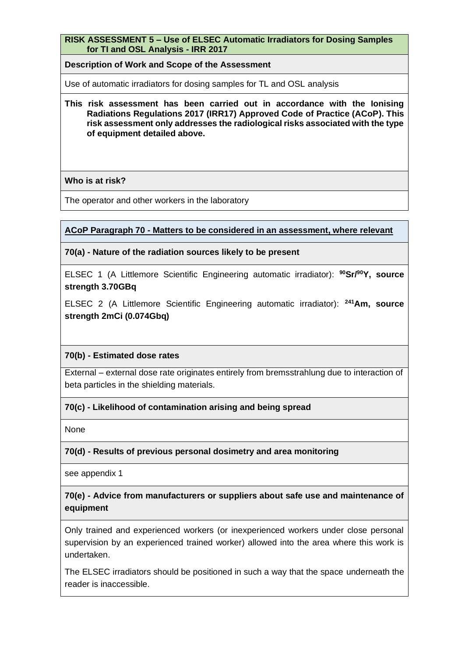**RISK ASSESSMENT 5 – Use of ELSEC Automatic Irradiators for Dosing Samples for TI and OSL Analysis - IRR 2017**

**Description of Work and Scope of the Assessment**

Use of automatic irradiators for dosing samples for TL and OSL analysis

#### **This risk assessment has been carried out in accordance with the Ionising Radiations Regulations 2017 (IRR17) Approved Code of Practice (ACoP). This risk assessment only addresses the radiological risks associated with the type of equipment detailed above.**

**Who is at risk?** 

The operator and other workers in the laboratory

#### **ACoP Paragraph 70 - Matters to be considered in an assessment, where relevant**

**70(a) - Nature of the radiation sources likely to be present**

ELSEC 1 (A Littlemore Scientific Engineering automatic irradiator): **<sup>90</sup>Sr/<sup>90</sup>Y, source strength 3.70GBq**

ELSEC 2 (A Littlemore Scientific Engineering automatic irradiator): **<sup>241</sup>Am, source strength 2mCi (0.074Gbq)**

#### **70(b) - Estimated dose rates**

External – external dose rate originates entirely from bremsstrahlung due to interaction of beta particles in the shielding materials.

#### **70(c) - Likelihood of contamination arising and being spread**

None

#### **70(d) - Results of previous personal dosimetry and area monitoring**

see appendix 1

# **70(e) - Advice from manufacturers or suppliers about safe use and maintenance of equipment**

Only trained and experienced workers (or inexperienced workers under close personal supervision by an experienced trained worker) allowed into the area where this work is undertaken.

The ELSEC irradiators should be positioned in such a way that the space underneath the reader is inaccessible.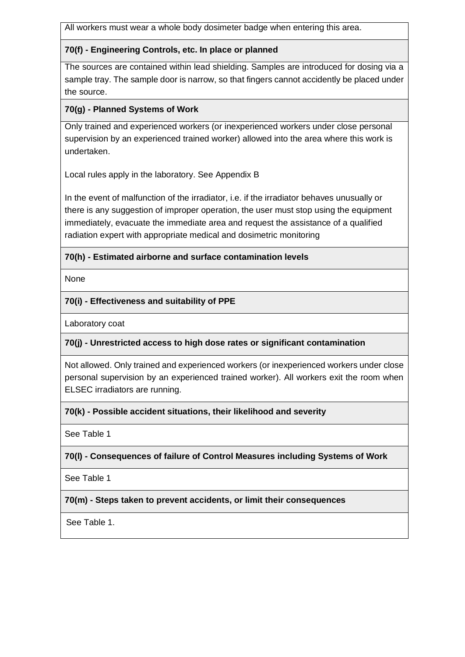All workers must wear a whole body dosimeter badge when entering this area.

# **70(f) - Engineering Controls, etc. In place or planned**

The sources are contained within lead shielding. Samples are introduced for dosing via a sample tray. The sample door is narrow, so that fingers cannot accidently be placed under the source.

# **70(g) - Planned Systems of Work**

Only trained and experienced workers (or inexperienced workers under close personal supervision by an experienced trained worker) allowed into the area where this work is undertaken.

Local rules apply in the laboratory. See Appendix B

In the event of malfunction of the irradiator, i.e. if the irradiator behaves unusually or there is any suggestion of improper operation, the user must stop using the equipment immediately, evacuate the immediate area and request the assistance of a qualified radiation expert with appropriate medical and dosimetric monitoring

# **70(h) - Estimated airborne and surface contamination levels**

None

#### **70(i) - Effectiveness and suitability of PPE**

Laboratory coat

# **70(j) - Unrestricted access to high dose rates or significant contamination**

Not allowed. Only trained and experienced workers (or inexperienced workers under close personal supervision by an experienced trained worker). All workers exit the room when ELSEC irradiators are running.

#### **70(k) - Possible accident situations, their likelihood and severity**

See Table 1

# **70(l) - Consequences of failure of Control Measures including Systems of Work**

See Table 1

# **70(m) - Steps taken to prevent accidents, or limit their consequences**

See Table 1.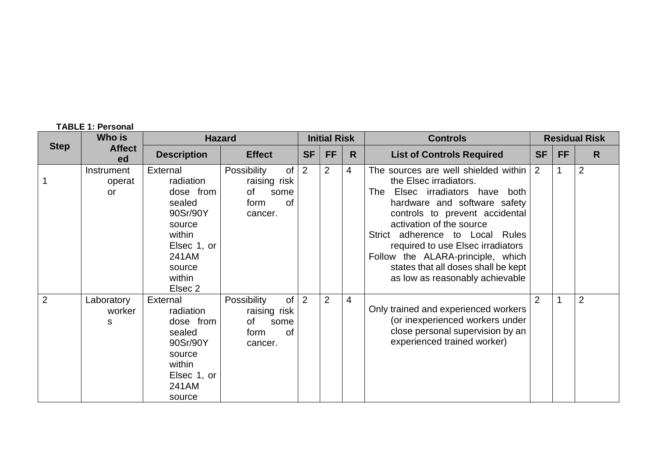| <b>TABLE 1: Personal</b> |
|--------------------------|
|                          |

|                | Who is                     | <b>Hazard</b>                                                                                                                       | <b>Initial Risk</b>                                                             |                |                | <b>Controls</b> |                                                                                                                                                                                                                                                                                                                                                                                                 | <b>Residual Risk</b> |  |                |
|----------------|----------------------------|-------------------------------------------------------------------------------------------------------------------------------------|---------------------------------------------------------------------------------|----------------|----------------|-----------------|-------------------------------------------------------------------------------------------------------------------------------------------------------------------------------------------------------------------------------------------------------------------------------------------------------------------------------------------------------------------------------------------------|----------------------|--|----------------|
| <b>Step</b>    | <b>Affect</b><br>ed        | <b>SF</b><br><b>FF</b><br>$\overline{\mathsf{R}}$<br><b>Effect</b><br><b>List of Controls Required</b><br><b>Description</b>        |                                                                                 |                |                |                 |                                                                                                                                                                                                                                                                                                                                                                                                 |                      |  | R.             |
|                | Instrument<br>operat<br>or | External<br>radiation<br>dose from<br>sealed<br>90Sr/90Y<br>source<br>within<br>Elsec 1, or<br>241AM<br>source<br>within<br>Elsec 2 | of<br>Possibility<br>raising risk<br>οf<br>some<br>0f<br>form<br>cancer.        | $\overline{2}$ | $\overline{2}$ | $\overline{4}$  | The sources are well shielded within<br>the Elsec irradiators.<br>Elsec irradiators have<br>both<br>The<br>hardware and software safety<br>controls to prevent accidental<br>activation of the source<br>adherence to Local Rules<br>Strict<br>required to use Elsec irradiators<br>Follow the ALARA-principle, which<br>states that all doses shall be kept<br>as low as reasonably achievable | 2                    |  | $\overline{2}$ |
| $\overline{2}$ | Laboratory<br>worker<br>S  | External<br>radiation<br>dose from<br>sealed<br>90Sr/90Y<br>source<br>within<br>Elsec 1, or<br>241AM<br>source                      | of<br>Possibility<br>raising risk<br>of<br>some<br><b>of</b><br>form<br>cancer. | 2              | $\overline{2}$ | 4               | Only trained and experienced workers<br>(or inexperienced workers under<br>close personal supervision by an<br>experienced trained worker)                                                                                                                                                                                                                                                      | $\overline{2}$       |  | $\overline{2}$ |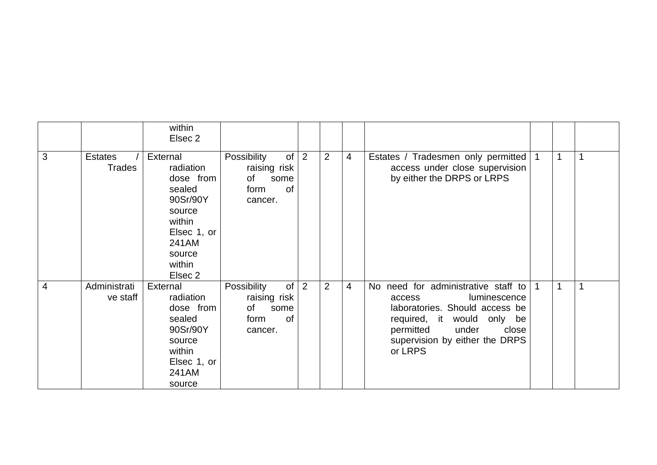|   |                                 | within<br>Elsec 2                                                                                                                              |                                                                          |                |                |                |                                                                                                                                                                                                           |  |  |
|---|---------------------------------|------------------------------------------------------------------------------------------------------------------------------------------------|--------------------------------------------------------------------------|----------------|----------------|----------------|-----------------------------------------------------------------------------------------------------------------------------------------------------------------------------------------------------------|--|--|
| 3 | <b>Estates</b><br><b>Trades</b> | External<br>radiation<br>dose from<br>sealed<br>90Sr/90Y<br>source<br>within<br>Elsec 1, or<br>241AM<br>source<br>within<br>Elsec <sub>2</sub> | Possibility<br>of<br>raising risk<br>of<br>some<br>form<br>0f<br>cancer. | $\overline{2}$ | $\overline{2}$ | 4              | Estates / Tradesmen only permitted<br>access under close supervision<br>by either the DRPS or LRPS                                                                                                        |  |  |
| 4 | Administrati<br>ve staff        | External<br>radiation<br>dose from<br>sealed<br>90Sr/90Y<br>source<br>within<br>Elsec 1, or<br>241AM<br>source                                 | Possibility<br>of<br>raising risk<br>of<br>some<br>form<br>0f<br>cancer. | 2              | $\overline{2}$ | $\overline{4}$ | No need for administrative staff to<br>luminescence<br>access<br>laboratories. Should access be<br>required, it would only be<br>permitted<br>under<br>close<br>supervision by either the DRPS<br>or LRPS |  |  |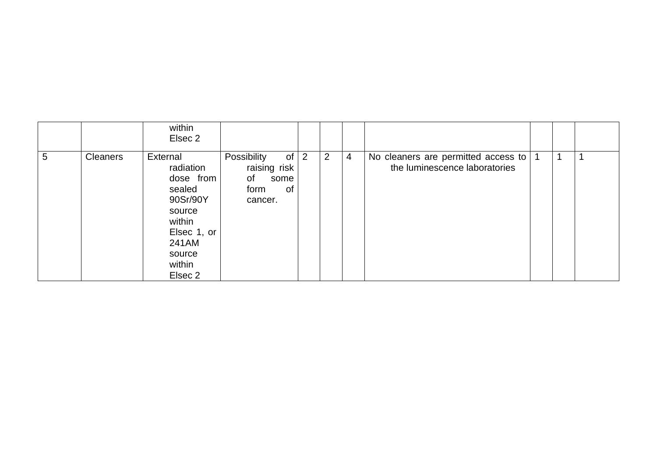|   |          | within<br>Elsec 2                                                                                                                   |                                                                          |                |   |                |                                                                      |   |  |
|---|----------|-------------------------------------------------------------------------------------------------------------------------------------|--------------------------------------------------------------------------|----------------|---|----------------|----------------------------------------------------------------------|---|--|
| 5 | Cleaners | External<br>radiation<br>dose from<br>sealed<br>90Sr/90Y<br>source<br>within<br>Elsec 1, or<br>241AM<br>source<br>within<br>Elsec 2 | Possibility<br>of<br>raising risk<br>of<br>some<br>form<br>0f<br>cancer. | $\overline{2}$ | 2 | $\overline{4}$ | No cleaners are permitted access to<br>the luminescence laboratories | 1 |  |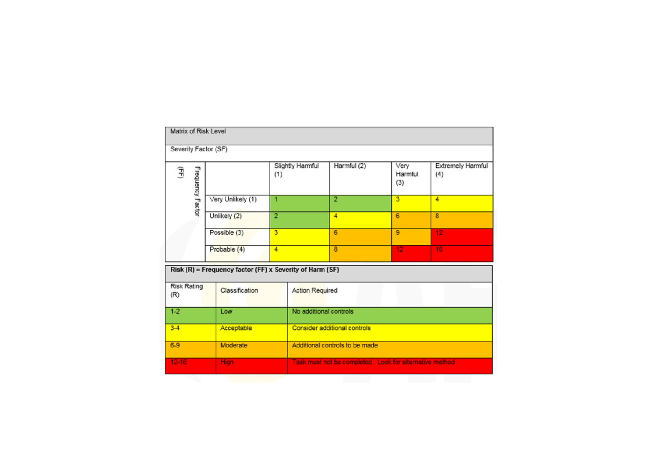| Matrix of Risk Level      |                  |  |                                                          |                                     |                        |                                                         |                        |                          |  |  |
|---------------------------|------------------|--|----------------------------------------------------------|-------------------------------------|------------------------|---------------------------------------------------------|------------------------|--------------------------|--|--|
| Severity Factor (SF)      |                  |  |                                                          |                                     |                        |                                                         |                        |                          |  |  |
| Ê                         | Frequency Factor |  |                                                          | Slightly Harmful<br>(1)             |                        | Harmful (2)                                             | Very<br>Harmful<br>(3) | Extremely Harmful<br>(4) |  |  |
|                           |                  |  | Very Unlikely (1)                                        | 1                                   |                        | $\overline{2}$                                          | 3                      | $\overline{4}$           |  |  |
|                           |                  |  | Unlikely (2)                                             | $\overline{2}$                      |                        | $\overline{4}$                                          | $6\overline{6}$        | $\overline{\mathbf{8}}$  |  |  |
|                           | Possible (3)     |  | $\overline{\mathbf{3}}$                                  |                                     | $\overline{6}$         | 9                                                       | 12                     |                          |  |  |
|                           |                  |  | Probable (4)                                             | 4                                   |                        | $\overline{\mathbf{8}}$                                 | 12                     | 16                       |  |  |
|                           |                  |  | Risk (R) = Frequency factor (FF) x Severity of Harm (SF) |                                     |                        |                                                         |                        |                          |  |  |
| <b>Risk Rating</b><br>(R) |                  |  | Classification                                           |                                     | <b>Action Required</b> |                                                         |                        |                          |  |  |
| $1 - 2$                   |                  |  | Low                                                      |                                     | No additional controls |                                                         |                        |                          |  |  |
| $3 - 4$<br>Acceptable     |                  |  |                                                          | <b>Consider additional controls</b> |                        |                                                         |                        |                          |  |  |
| $6-9$                     |                  |  | Moderate                                                 |                                     |                        | Additional controls to be made                          |                        |                          |  |  |
| $12 - 16$                 |                  |  | <b>High</b>                                              |                                     |                        | Task must not be completed. Look for alternative method |                        |                          |  |  |
|                           |                  |  |                                                          |                                     |                        |                                                         |                        |                          |  |  |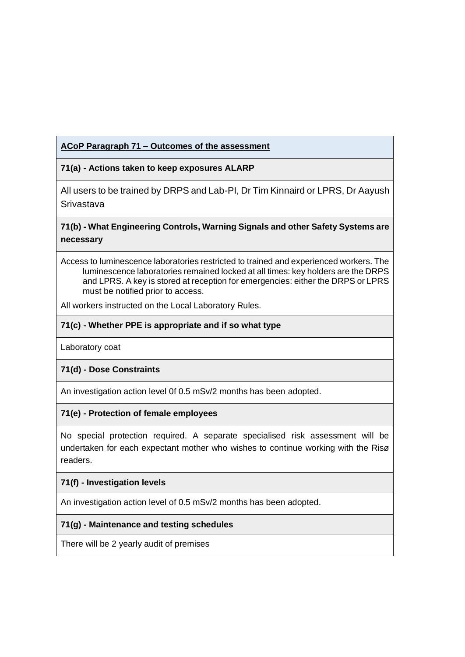# **ACoP Paragraph 71 – Outcomes of the assessment**

#### **71(a) - Actions taken to keep exposures ALARP**

All users to be trained by DRPS and Lab-PI, Dr Tim Kinnaird or LPRS, Dr Aayush **Srivastava** 

# **71(b) - What Engineering Controls, Warning Signals and other Safety Systems are necessary**

Access to luminescence laboratories restricted to trained and experienced workers. The luminescence laboratories remained locked at all times: key holders are the DRPS and LPRS. A key is stored at reception for emergencies: either the DRPS or LPRS must be notified prior to access.

All workers instructed on the Local Laboratory Rules.

#### **71(c) - Whether PPE is appropriate and if so what type**

Laboratory coat

# **71(d) - Dose Constraints**

An investigation action level 0f 0.5 mSv/2 months has been adopted.

#### **71(e) - Protection of female employees**

No special protection required. A separate specialised risk assessment will be undertaken for each expectant mother who wishes to continue working with the Risø readers.

#### **71(f) - Investigation levels**

An investigation action level of 0.5 mSv/2 months has been adopted.

#### **71(g) - Maintenance and testing schedules**

There will be 2 yearly audit of premises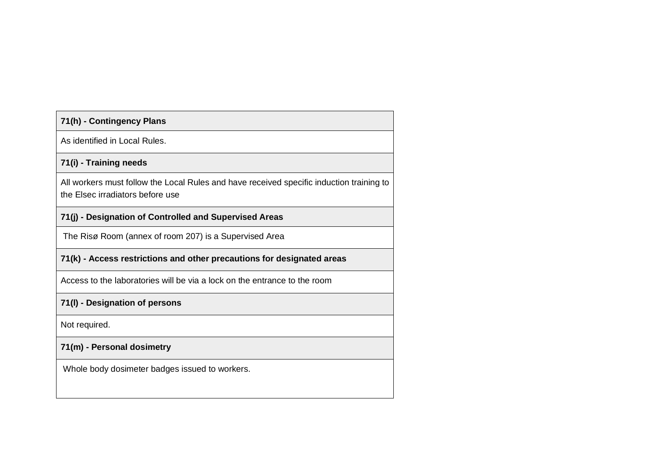| 71(h) - Contingency Plans                                                                                                    |  |  |  |  |  |  |  |  |
|------------------------------------------------------------------------------------------------------------------------------|--|--|--|--|--|--|--|--|
| As identified in Local Rules.                                                                                                |  |  |  |  |  |  |  |  |
| 71(i) - Training needs                                                                                                       |  |  |  |  |  |  |  |  |
| All workers must follow the Local Rules and have received specific induction training to<br>the Elsec irradiators before use |  |  |  |  |  |  |  |  |
| 71(j) - Designation of Controlled and Supervised Areas                                                                       |  |  |  |  |  |  |  |  |
| The Risø Room (annex of room 207) is a Supervised Area                                                                       |  |  |  |  |  |  |  |  |
| 71(k) - Access restrictions and other precautions for designated areas                                                       |  |  |  |  |  |  |  |  |
| Access to the laboratories will be via a lock on the entrance to the room                                                    |  |  |  |  |  |  |  |  |
| 71(I) - Designation of persons                                                                                               |  |  |  |  |  |  |  |  |
| Not required.                                                                                                                |  |  |  |  |  |  |  |  |
| 71(m) - Personal dosimetry                                                                                                   |  |  |  |  |  |  |  |  |
| Whole body dosimeter badges issued to workers.                                                                               |  |  |  |  |  |  |  |  |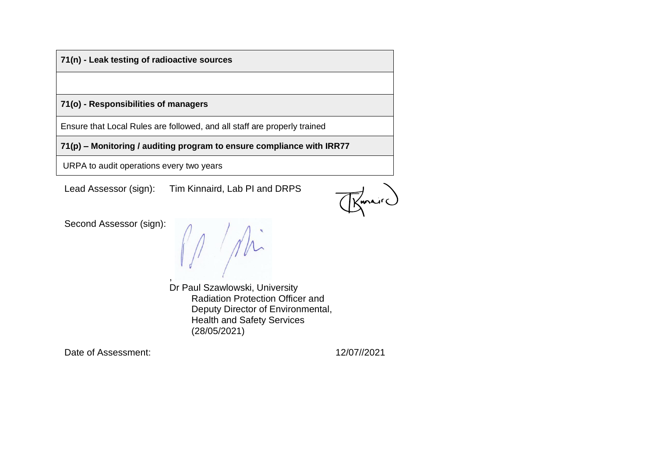**71(n) - Leak testing of radioactive sources**

**71(o) - Responsibilities of managers**

Ensure that Local Rules are followed, and all staff are properly trained

**71(p) – Monitoring / auditing program to ensure compliance with IRR77**

URPA to audit operations every two years

Lead Assessor (sign): Tim Kinnaird, Lab PI and DRPS

 $\overrightarrow{K}$ mair $\overrightarrow{C}$ 

Second Assessor (sign):

M ph ,

Dr Paul Szawlowski, University Radiation Protection Officer and Deputy Director of Environmental, Health and Safety Services (28/05/2021)

Date of Assessment: 12/07//2021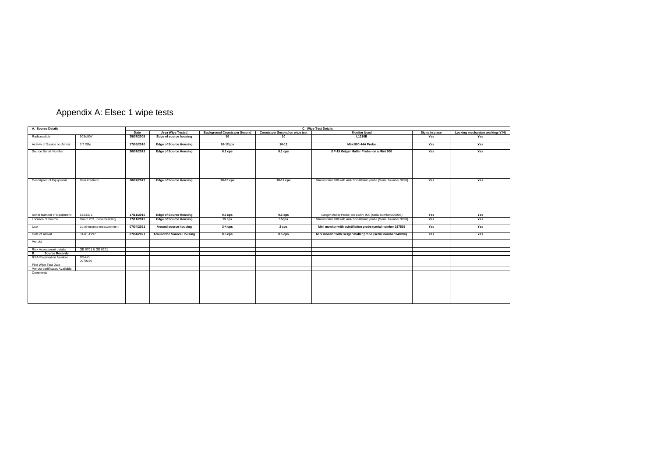# Appendix A: Elsec 1 wipe tests

| A. Source Details              |                           |            |                                  | C. Wipe Test Details                |                                |                                                                    |                |                                 |  |  |  |  |
|--------------------------------|---------------------------|------------|----------------------------------|-------------------------------------|--------------------------------|--------------------------------------------------------------------|----------------|---------------------------------|--|--|--|--|
|                                |                           | Date       | <b>Area Wipe Tested</b>          | <b>Background Counts per Second</b> | Counts per Second on wipe test | <b>Monitor Used</b>                                                | Signs in place | Locking mechanism working (Y/N) |  |  |  |  |
| Radionuclide                   | 90Sr/90Y                  | 25/07/2008 | Edge of source housing           | 10                                  | 10                             | L1210B                                                             | Yes            | Yes                             |  |  |  |  |
| Activity of Source on Arrival  | 3.7 GBq                   | 17/06/2010 | <b>Edge of Source Housing</b>    | $10-12$ cps                         | $10 - 12$                      | Mini 900 44A Probe                                                 | Yes            | Yes                             |  |  |  |  |
| Source Serial Number           |                           | 30/07/2013 | <b>Edge of Source Housing</b>    | 0.1 cps                             | $0.1$ cps                      | EP-15 Geiger Muller Probe- on a Mini 900                           | Yes            | Yes                             |  |  |  |  |
| Description of Equipment       | Beta irradiator           | 30/07/2013 | <b>Edge of Source Housing</b>    | 10-15 cps                           | 10-12 cps                      | Mini monitor 900 with 44A Scintillation probe (Serial Number 3890) | Yes            | Yes                             |  |  |  |  |
| Serial Number of Equipment     | ELSEC <sub>1</sub>        | 17/11/2015 | <b>Edge of Source Housing</b>    | $0.5$ cps                           | $0.5$ cps                      | Geiger Muller Probe- on a Mini 900 (serial number026998)           | Yes            | Yes                             |  |  |  |  |
| Location of Source             | Room 207, Irvine Building | 17/11/2015 | <b>Edge of Source Housing</b>    | 15 cps                              | 15cps                          | Mini monitor 900 with 44A Scintillation probe (Serial Number 3890) | Yes            | Yes                             |  |  |  |  |
| Use                            | Luminesence measurement   | 07/04/2021 | Around source housing            | $3-4$ cps                           | 2 cps                          | Mini monitor with scintillation probe (serial number 027535        | Yes            | Yes                             |  |  |  |  |
| Date of Arrival                | 31-01-1997                | 07/04/2021 | <b>Around the Source Housing</b> | $0.5$ cps                           | $0.5$ cps                      | Mini monitor with Geiger muller probe (serial number 040096)       | Yes            | Yes                             |  |  |  |  |
| Vendor                         |                           |            |                                  |                                     |                                |                                                                    |                |                                 |  |  |  |  |
| Risk Assessment details        | GE 0701 & GE 0201         |            |                                  |                                     |                                |                                                                    |                |                                 |  |  |  |  |
| <b>Source Records</b><br>в.    |                           |            |                                  |                                     |                                |                                                                    |                |                                 |  |  |  |  |
| <b>RSA Registration Number</b> | RSA/C/<br>0070160         |            |                                  |                                     |                                |                                                                    |                |                                 |  |  |  |  |
| First Wipe Test Date           |                           |            |                                  |                                     |                                |                                                                    |                |                                 |  |  |  |  |
| Vendor certificates Available  |                           |            |                                  |                                     |                                |                                                                    |                |                                 |  |  |  |  |
| Comments                       |                           |            |                                  |                                     |                                |                                                                    |                |                                 |  |  |  |  |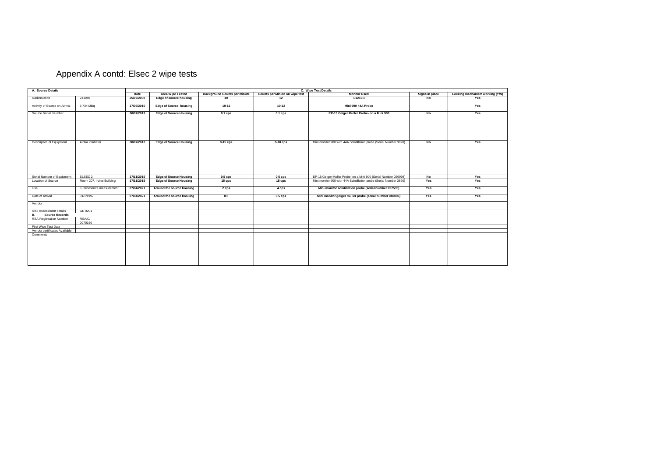# Appendix A contd: Elsec 2 wipe tests

| A. Source Details                  |                           | C. Wipe Test Details |                               |                                     |                                |                                                                    |                |                                 |  |  |  |  |
|------------------------------------|---------------------------|----------------------|-------------------------------|-------------------------------------|--------------------------------|--------------------------------------------------------------------|----------------|---------------------------------|--|--|--|--|
|                                    |                           | Date                 | <b>Area Wipe Tested</b>       | <b>Background Counts per minute</b> | Counts per Minute on wipe test | <b>Monitor Used</b>                                                | Signs in place | Locking mechanism working (Y/N) |  |  |  |  |
| Radionuclide                       | 241Am                     | 25/07/2008           | Edge of source housing        | 10                                  | 12                             | L1210B                                                             | No             | Yes                             |  |  |  |  |
| Activity of Source on Arrival      | 6.734 MBq                 | 17/06/2010           | <b>Edge of Source housing</b> | $10 - 12$                           | $10-12$                        | Mini 900 44A Probe                                                 |                | Yes                             |  |  |  |  |
| Source Serial Number               |                           | 30/07/2013           | <b>Edge of Source Housing</b> | $0.1$ cps                           | $0.1$ cps                      | EP-15 Geiger Muller Probe- on a Mini 900                           | No             | Yes                             |  |  |  |  |
| Description of Equipment           | Alpha irradiator          | 30/07/2013           | <b>Edge of Source Housing</b> | 8-15 cps                            | 8-10 cps                       | Mini monitor 900 with 44A Scintillation probe (Serial Number 3890) | No             | Yes                             |  |  |  |  |
|                                    |                           |                      |                               |                                     |                                |                                                                    |                |                                 |  |  |  |  |
|                                    |                           |                      |                               |                                     |                                |                                                                    |                |                                 |  |  |  |  |
| Serial Number of Equipment         | ELSEC <sub>2</sub>        | 17/11/2015           | <b>Edge of Source Housing</b> | $0.5$ cps                           | $0.5$ cps                      | EP-15 Geiger Muller Probe- on a Mini 900 (Serial Number 026998)    | <b>No</b>      | Yes                             |  |  |  |  |
| Location of Source                 | Room 207, Irvine Building | 17/11/2015           | <b>Edge of Source Housing</b> | 15 cps                              | 15 cps                         | Mini monitor 900 with 44A Scintillation probe (Serial Number 3890) | Yes            | Yes                             |  |  |  |  |
| Use                                | Luminesence measurement   | 07/04/2021           | Around the source housing     | 2 cps                               | 4 cps                          | Mini monitor scintillation probe (serial number 027535)            | Yes            | Yes                             |  |  |  |  |
| Date of Arrival                    | 31/1/1997                 | 07/04/2021           | Around the source hosuing     | 0.5                                 | $0.5$ cps                      | Mini monitor geiger muller probe (serial number 040096)            | Yes            | Yes                             |  |  |  |  |
| Vendor                             |                           |                      |                               |                                     |                                |                                                                    |                |                                 |  |  |  |  |
| Risk Assessment details            | GE 0201                   |                      |                               |                                     |                                |                                                                    |                |                                 |  |  |  |  |
| <b>Source Records</b><br><b>B.</b> |                           |                      |                               |                                     |                                |                                                                    |                |                                 |  |  |  |  |
| RSA Registration Number            | RSA/C/<br>0070160         |                      |                               |                                     |                                |                                                                    |                |                                 |  |  |  |  |
| First Wipe Test Date               |                           |                      |                               |                                     |                                |                                                                    |                |                                 |  |  |  |  |
| Vendor certificates Available      |                           |                      |                               |                                     |                                |                                                                    |                |                                 |  |  |  |  |
| Comments                           |                           |                      |                               |                                     |                                |                                                                    |                |                                 |  |  |  |  |
|                                    |                           |                      |                               |                                     |                                |                                                                    |                |                                 |  |  |  |  |
|                                    |                           |                      |                               |                                     |                                |                                                                    |                |                                 |  |  |  |  |
|                                    |                           |                      |                               |                                     |                                |                                                                    |                |                                 |  |  |  |  |
|                                    |                           |                      |                               |                                     |                                |                                                                    |                |                                 |  |  |  |  |
|                                    |                           |                      |                               |                                     |                                |                                                                    |                |                                 |  |  |  |  |
|                                    |                           |                      |                               |                                     |                                |                                                                    |                |                                 |  |  |  |  |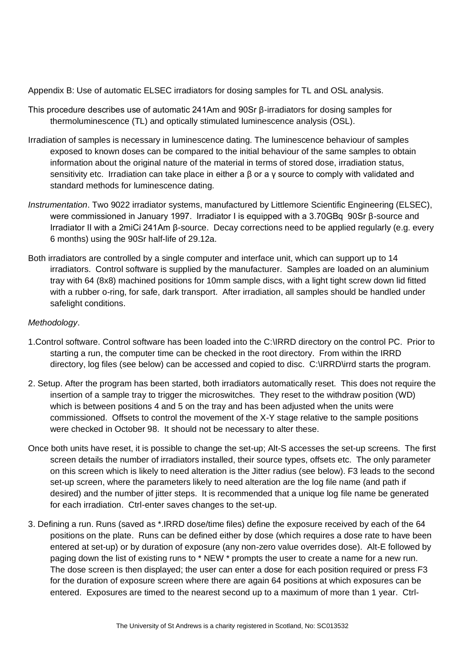Appendix B: Use of automatic ELSEC irradiators for dosing samples for TL and OSL analysis.

- This procedure describes use of automatic 241Am and 90Sr β-irradiators for dosing samples for thermoluminescence (TL) and optically stimulated luminescence analysis (OSL).
- Irradiation of samples is necessary in luminescence dating. The luminescence behaviour of samples exposed to known doses can be compared to the initial behaviour of the same samples to obtain information about the original nature of the material in terms of stored dose, irradiation status, sensitivity etc. Irradiation can take place in either a β or a γ source to comply with validated and standard methods for luminescence dating.
- *Instrumentation*. Two 9022 irradiator systems, manufactured by Littlemore Scientific Engineering (ELSEC), were commissioned in January 1997. Irradiator I is equipped with a 3.70GBq 90Sr β-source and Irradiator II with a 2miCi 241Am β-source. Decay corrections need to be applied regularly (e.g. every 6 months) using the 90Sr half-life of 29.12a.
- Both irradiators are controlled by a single computer and interface unit, which can support up to 14 irradiators. Control software is supplied by the manufacturer. Samples are loaded on an aluminium tray with 64 (8x8) machined positions for 10mm sample discs, with a light tight screw down lid fitted with a rubber o-ring, for safe, dark transport. After irradiation, all samples should be handled under safelight conditions.

#### *Methodology*.

- 1.Control software. Control software has been loaded into the C:\IRRD directory on the control PC. Prior to starting a run, the computer time can be checked in the root directory. From within the IRRD directory, log files (see below) can be accessed and copied to disc. C:\IRRD\irrd starts the program.
- 2. Setup. After the program has been started, both irradiators automatically reset. This does not require the insertion of a sample tray to trigger the microswitches. They reset to the withdraw position (WD) which is between positions 4 and 5 on the tray and has been adjusted when the units were commissioned. Offsets to control the movement of the X-Y stage relative to the sample positions were checked in October 98. It should not be necessary to alter these.
- Once both units have reset, it is possible to change the set-up; Alt-S accesses the set-up screens. The first screen details the number of irradiators installed, their source types, offsets etc. The only parameter on this screen which is likely to need alteration is the Jitter radius (see below). F3 leads to the second set-up screen, where the parameters likely to need alteration are the log file name (and path if desired) and the number of jitter steps. It is recommended that a unique log file name be generated for each irradiation. Ctrl-enter saves changes to the set-up.
- 3. Defining a run. Runs (saved as \*.IRRD dose/time files) define the exposure received by each of the 64 positions on the plate. Runs can be defined either by dose (which requires a dose rate to have been entered at set-up) or by duration of exposure (any non-zero value overrides dose). Alt-E followed by paging down the list of existing runs to \* NEW \* prompts the user to create a name for a new run. The dose screen is then displayed; the user can enter a dose for each position required or press F3 for the duration of exposure screen where there are again 64 positions at which exposures can be entered. Exposures are timed to the nearest second up to a maximum of more than 1 year. Ctrl-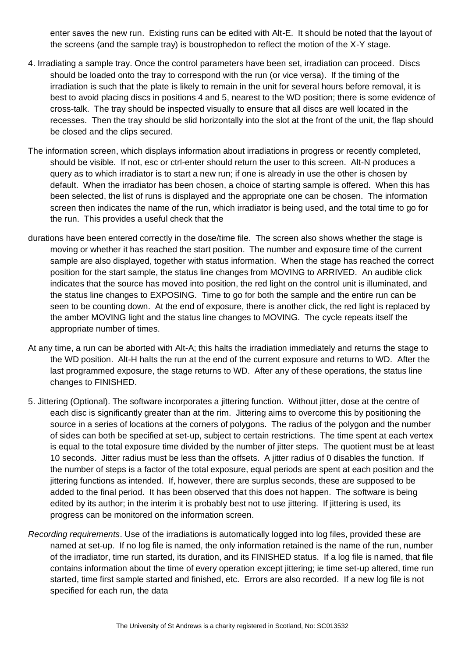enter saves the new run. Existing runs can be edited with Alt-E. It should be noted that the layout of the screens (and the sample tray) is boustrophedon to reflect the motion of the X-Y stage.

- 4. Irradiating a sample tray. Once the control parameters have been set, irradiation can proceed. Discs should be loaded onto the tray to correspond with the run (or vice versa). If the timing of the irradiation is such that the plate is likely to remain in the unit for several hours before removal, it is best to avoid placing discs in positions 4 and 5, nearest to the WD position; there is some evidence of cross-talk. The tray should be inspected visually to ensure that all discs are well located in the recesses. Then the tray should be slid horizontally into the slot at the front of the unit, the flap should be closed and the clips secured.
- The information screen, which displays information about irradiations in progress or recently completed, should be visible. If not, esc or ctrl-enter should return the user to this screen. Alt-N produces a query as to which irradiator is to start a new run; if one is already in use the other is chosen by default. When the irradiator has been chosen, a choice of starting sample is offered. When this has been selected, the list of runs is displayed and the appropriate one can be chosen. The information screen then indicates the name of the run, which irradiator is being used, and the total time to go for the run. This provides a useful check that the
- durations have been entered correctly in the dose/time file. The screen also shows whether the stage is moving or whether it has reached the start position. The number and exposure time of the current sample are also displayed, together with status information. When the stage has reached the correct position for the start sample, the status line changes from MOVING to ARRIVED. An audible click indicates that the source has moved into position, the red light on the control unit is illuminated, and the status line changes to EXPOSING. Time to go for both the sample and the entire run can be seen to be counting down. At the end of exposure, there is another click, the red light is replaced by the amber MOVING light and the status line changes to MOVING. The cycle repeats itself the appropriate number of times.
- At any time, a run can be aborted with Alt-A; this halts the irradiation immediately and returns the stage to the WD position. Alt-H halts the run at the end of the current exposure and returns to WD. After the last programmed exposure, the stage returns to WD. After any of these operations, the status line changes to FINISHED.
- 5. Jittering (Optional). The software incorporates a jittering function. Without jitter, dose at the centre of each disc is significantly greater than at the rim. Jittering aims to overcome this by positioning the source in a series of locations at the corners of polygons. The radius of the polygon and the number of sides can both be specified at set-up, subject to certain restrictions. The time spent at each vertex is equal to the total exposure time divided by the number of jitter steps. The quotient must be at least 10 seconds. Jitter radius must be less than the offsets. A jitter radius of 0 disables the function. If the number of steps is a factor of the total exposure, equal periods are spent at each position and the jittering functions as intended. If, however, there are surplus seconds, these are supposed to be added to the final period. It has been observed that this does not happen. The software is being edited by its author; in the interim it is probably best not to use jittering. If jittering is used, its progress can be monitored on the information screen.
- *Recording requirements*. Use of the irradiations is automatically logged into log files, provided these are named at set-up. If no log file is named, the only information retained is the name of the run, number of the irradiator, time run started, its duration, and its FINISHED status. If a log file is named, that file contains information about the time of every operation except jittering; ie time set-up altered, time run started, time first sample started and finished, etc. Errors are also recorded. If a new log file is not specified for each run, the data